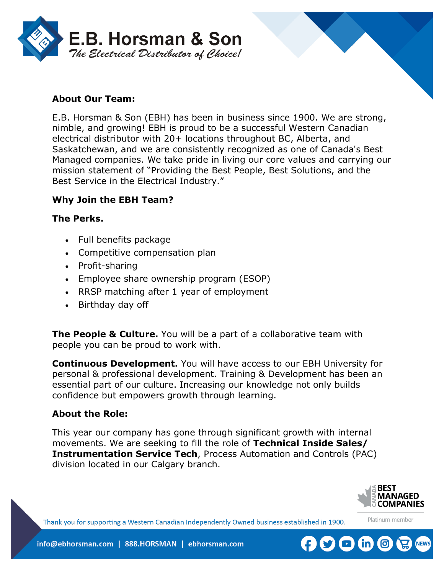



E.B. Horsman & Son (EBH) has been in business since 1900. We are strong, nimble, and growing! EBH is proud to be a successful Western Canadian electrical distributor with 20+ locations throughout BC, Alberta, and Saskatchewan, and we are consistently recognized as one of Canada's Best Managed companies. We take pride in living our core values and carrying our mission statement of "Providing the Best People, Best Solutions, and the Best Service in the Electrical Industry."

## **Why Join the EBH Team?**

### **The Perks.**

- Full benefits package
- Competitive compensation plan
- Profit-sharing
- Employee share ownership program (ESOP)
- RRSP matching after 1 year of employment
- Birthday day off

**The People & Culture.** You will be a part of a collaborative team with people you can be proud to work with.

**Continuous Development.** You will have access to our EBH University for personal & professional development. Training & Development has been an essential part of our culture. Increasing our knowledge not only builds confidence but empowers growth through learning.

### **About the Role:**

This year our company has gone through significant growth with internal movements. We are seeking to fill the role of **Technical Inside Sales/ Instrumentation Service Tech**, Process Automation and Controls (PAC) division located in our Calgary branch.



Platinum member

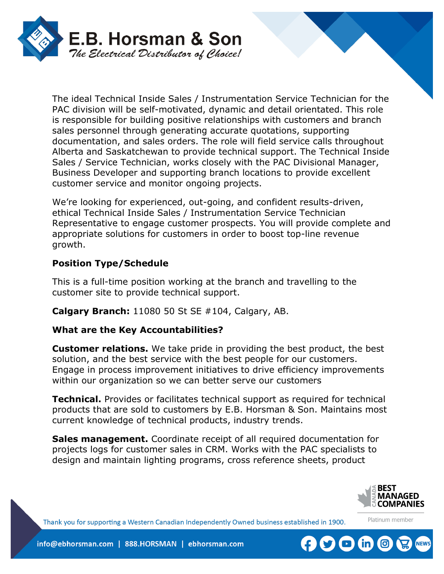

The ideal Technical Inside Sales / Instrumentation Service Technician for the PAC division will be self-motivated, dynamic and detail orientated. This role is responsible for building positive relationships with customers and branch sales personnel through generating accurate quotations, supporting documentation, and sales orders. The role will field service calls throughout Alberta and Saskatchewan to provide technical support. The Technical Inside Sales / Service Technician, works closely with the PAC Divisional Manager, Business Developer and supporting branch locations to provide excellent customer service and monitor ongoing projects.

We're looking for experienced, out-going, and confident results-driven, ethical Technical Inside Sales / Instrumentation Service Technician Representative to engage customer prospects. You will provide complete and appropriate solutions for customers in order to boost top-line revenue growth.

# **Position Type/Schedule**

This is a full-time position working at the branch and travelling to the customer site to provide technical support.

**Calgary Branch:** 11080 50 St SE #104, Calgary, AB.

# **What are the Key Accountabilities?**

**Customer relations.** We take pride in providing the best product, the best solution, and the best service with the best people for our customers. Engage in process improvement initiatives to drive efficiency improvements within our organization so we can better serve our customers

**Technical.** Provides or facilitates technical support as required for technical products that are sold to customers by E.B. Horsman & Son. Maintains most current knowledge of technical products, industry trends.

**Sales management.** Coordinate receipt of all required documentation for projects logs for customer sales in CRM. Works with the PAC specialists to design and maintain lighting programs, cross reference sheets, product



Platinum member

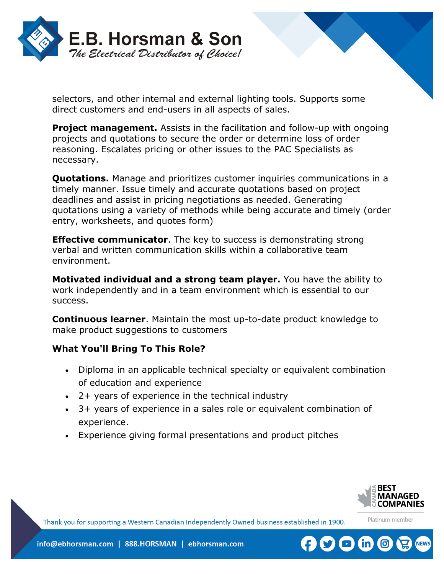

selectors, and other internal and external lighting tools. Supports some direct customers and end-users in all aspects of sales.

**Project management.** Assists in the facilitation and follow-up with ongoing projects and quotations to secure the order or determine loss of order reasoning. Escalates pricing or other issues to the PAC Specialists as necessary.

**Quotations.** Manage and prioritizes customer inquiries communications in a timely manner. Issue timely and accurate quotations based on project deadlines and assist in pricing negotiations as needed. Generating quotations using a variety of methods while being accurate and timely (order entry, worksheets, and quotes form)

**Effective communicator**. The key to success is demonstrating strong verbal and written communication skills within a collaborative team environment.

**Motivated individual and a strong team player.** You have the ability to work independently and in a team environment which is essential to our success.

**Continuous learner**. Maintain the most up-to-date product knowledge to make product suggestions to customers

# **What You'll Bring To This Role?**

- Diploma in an applicable technical specialty or equivalent combination of education and experience
- 2+ years of experience in the technical industry
- 3+ years of experience in a sales role or equivalent combination of experience.
- Experience giving formal presentations and product pitches



Platinum member